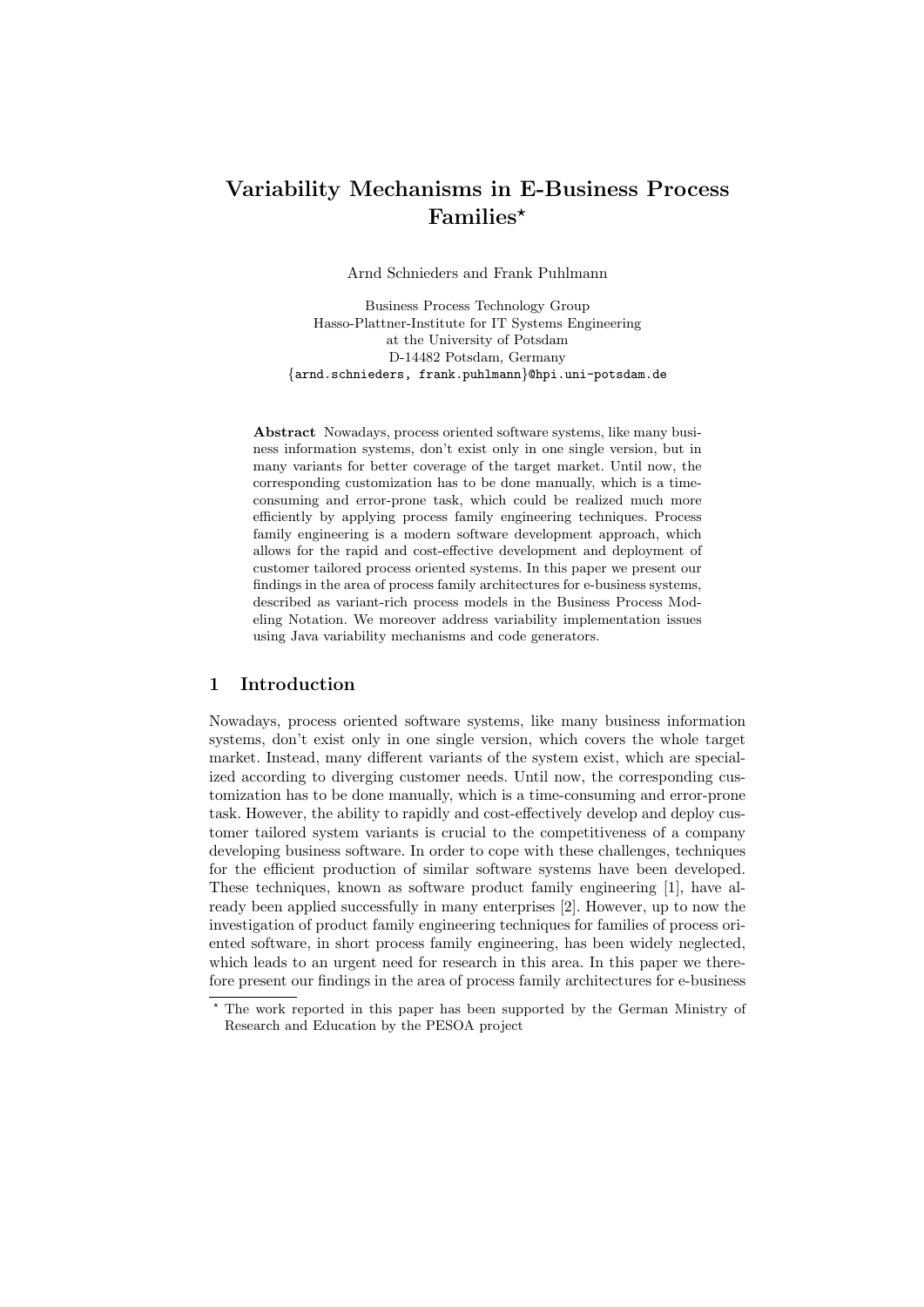# Variability Mechanisms in E-Business Process Families?

Arnd Schnieders and Frank Puhlmann

Business Process Technology Group Hasso-Plattner-Institute for IT Systems Engineering at the University of Potsdam D-14482 Potsdam, Germany {arnd.schnieders, frank.puhlmann}@hpi.uni-potsdam.de

Abstract Nowadays, process oriented software systems, like many business information systems, don't exist only in one single version, but in many variants for better coverage of the target market. Until now, the corresponding customization has to be done manually, which is a timeconsuming and error-prone task, which could be realized much more efficiently by applying process family engineering techniques. Process family engineering is a modern software development approach, which allows for the rapid and cost-effective development and deployment of customer tailored process oriented systems. In this paper we present our findings in the area of process family architectures for e-business systems, described as variant-rich process models in the Business Process Modeling Notation. We moreover address variability implementation issues using Java variability mechanisms and code generators.

# 1 Introduction

Nowadays, process oriented software systems, like many business information systems, don't exist only in one single version, which covers the whole target market. Instead, many different variants of the system exist, which are specialized according to diverging customer needs. Until now, the corresponding customization has to be done manually, which is a time-consuming and error-prone task. However, the ability to rapidly and cost-effectively develop and deploy customer tailored system variants is crucial to the competitiveness of a company developing business software. In order to cope with these challenges, techniques for the efficient production of similar software systems have been developed. These techniques, known as software product family engineering [1], have already been applied successfully in many enterprises [2]. However, up to now the investigation of product family engineering techniques for families of process oriented software, in short process family engineering, has been widely neglected, which leads to an urgent need for research in this area. In this paper we therefore present our findings in the area of process family architectures for e-business

<sup>?</sup> The work reported in this paper has been supported by the German Ministry of Research and Education by the PESOA project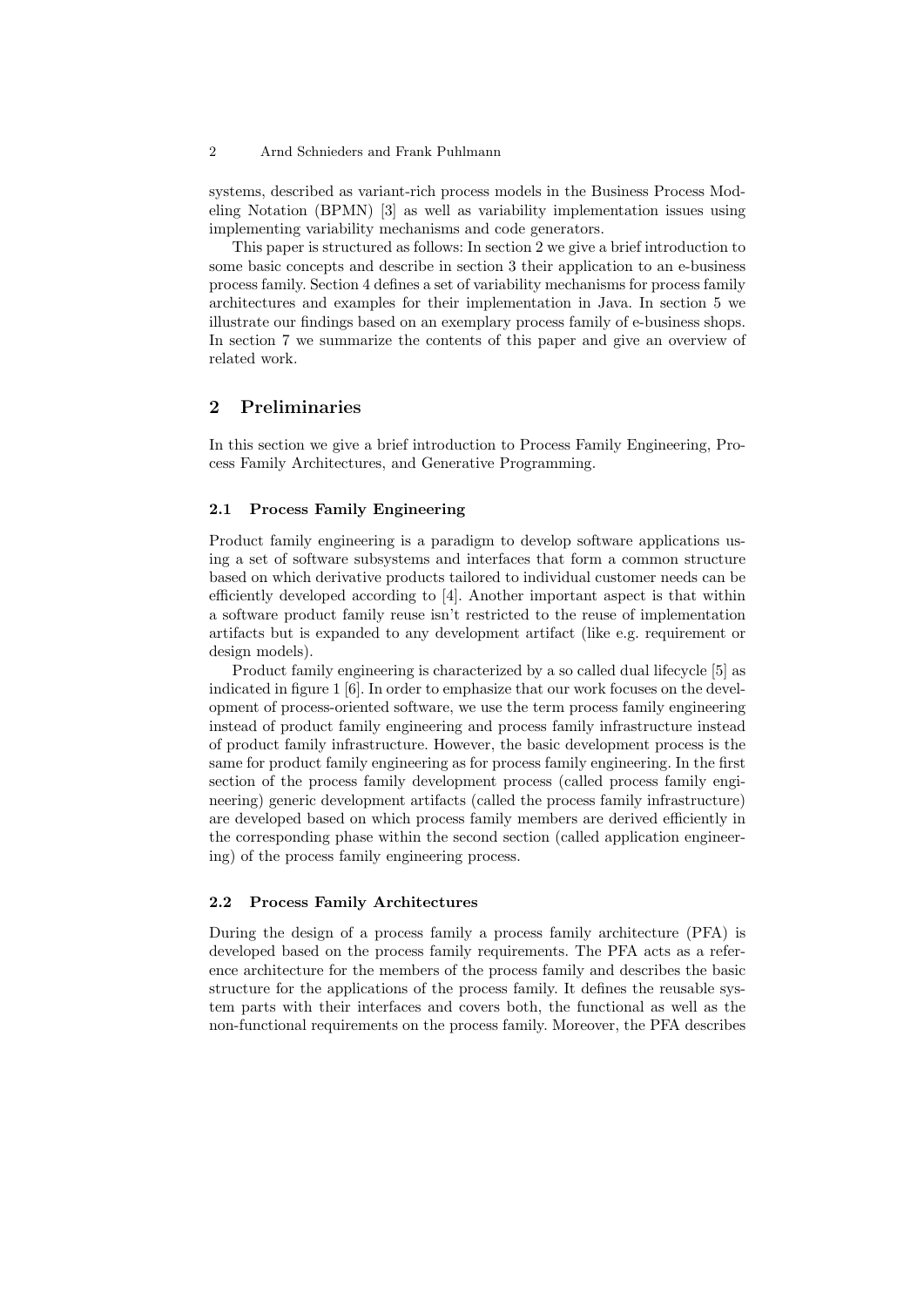systems, described as variant-rich process models in the Business Process Modeling Notation (BPMN) [3] as well as variability implementation issues using implementing variability mechanisms and code generators.

This paper is structured as follows: In section 2 we give a brief introduction to some basic concepts and describe in section 3 their application to an e-business process family. Section 4 defines a set of variability mechanisms for process family architectures and examples for their implementation in Java. In section 5 we illustrate our findings based on an exemplary process family of e-business shops. In section 7 we summarize the contents of this paper and give an overview of related work.

# 2 Preliminaries

In this section we give a brief introduction to Process Family Engineering, Process Family Architectures, and Generative Programming.

# 2.1 Process Family Engineering

Product family engineering is a paradigm to develop software applications using a set of software subsystems and interfaces that form a common structure based on which derivative products tailored to individual customer needs can be efficiently developed according to [4]. Another important aspect is that within a software product family reuse isn't restricted to the reuse of implementation artifacts but is expanded to any development artifact (like e.g. requirement or design models).

Product family engineering is characterized by a so called dual lifecycle [5] as indicated in figure 1 [6]. In order to emphasize that our work focuses on the development of process-oriented software, we use the term process family engineering instead of product family engineering and process family infrastructure instead of product family infrastructure. However, the basic development process is the same for product family engineering as for process family engineering. In the first section of the process family development process (called process family engineering) generic development artifacts (called the process family infrastructure) are developed based on which process family members are derived efficiently in the corresponding phase within the second section (called application engineering) of the process family engineering process.

# 2.2 Process Family Architectures

During the design of a process family a process family architecture (PFA) is developed based on the process family requirements. The PFA acts as a reference architecture for the members of the process family and describes the basic structure for the applications of the process family. It defines the reusable system parts with their interfaces and covers both, the functional as well as the non-functional requirements on the process family. Moreover, the PFA describes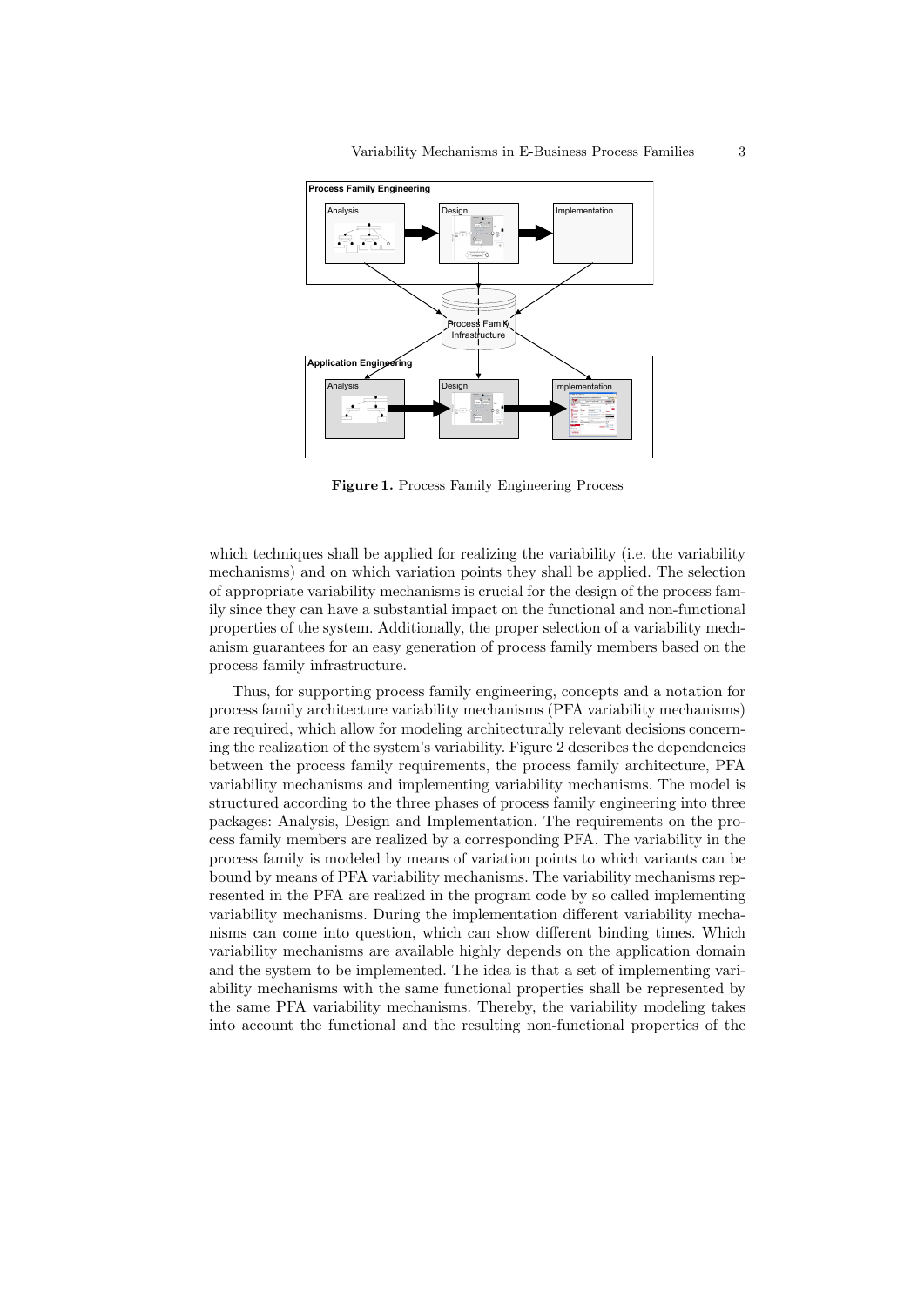

Figure 1. Process Family Engineering Process

which techniques shall be applied for realizing the variability (i.e. the variability mechanisms) and on which variation points they shall be applied. The selection of appropriate variability mechanisms is crucial for the design of the process family since they can have a substantial impact on the functional and non-functional properties of the system. Additionally, the proper selection of a variability mechanism guarantees for an easy generation of process family members based on the process family infrastructure.

Thus, for supporting process family engineering, concepts and a notation for process family architecture variability mechanisms (PFA variability mechanisms) are required, which allow for modeling architecturally relevant decisions concerning the realization of the system's variability. Figure 2 describes the dependencies between the process family requirements, the process family architecture, PFA variability mechanisms and implementing variability mechanisms. The model is structured according to the three phases of process family engineering into three packages: Analysis, Design and Implementation. The requirements on the process family members are realized by a corresponding PFA. The variability in the process family is modeled by means of variation points to which variants can be bound by means of PFA variability mechanisms. The variability mechanisms represented in the PFA are realized in the program code by so called implementing variability mechanisms. During the implementation different variability mechanisms can come into question, which can show different binding times. Which variability mechanisms are available highly depends on the application domain and the system to be implemented. The idea is that a set of implementing variability mechanisms with the same functional properties shall be represented by the same PFA variability mechanisms. Thereby, the variability modeling takes into account the functional and the resulting non-functional properties of the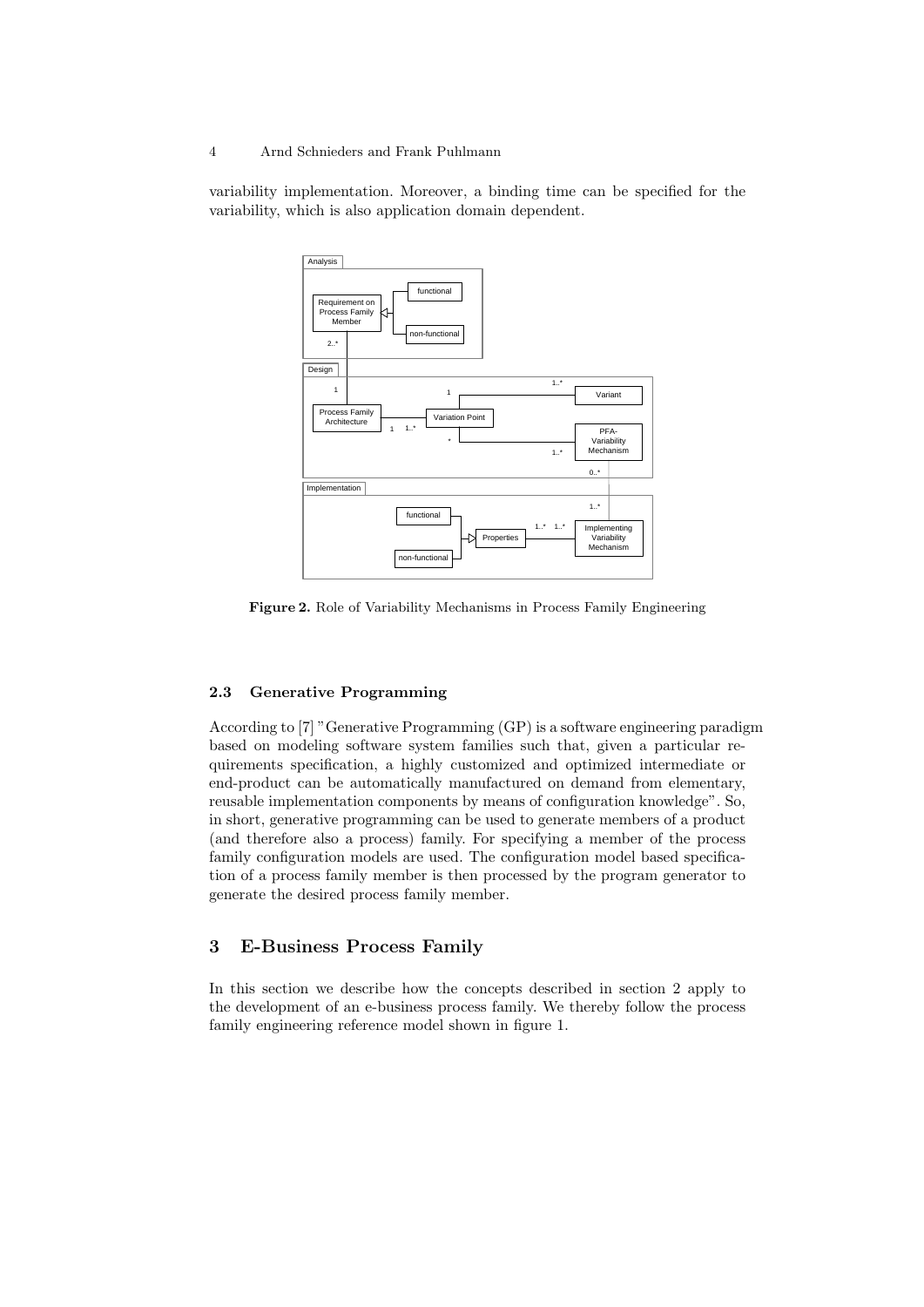variability implementation. Moreover, a binding time can be specified for the variability, which is also application domain dependent.



Figure 2. Role of Variability Mechanisms in Process Family Engineering

# 2.3 Generative Programming

According to [7] "Generative Programming (GP) is a software engineering paradigm based on modeling software system families such that, given a particular requirements specification, a highly customized and optimized intermediate or end-product can be automatically manufactured on demand from elementary, reusable implementation components by means of configuration knowledge". So, in short, generative programming can be used to generate members of a product (and therefore also a process) family. For specifying a member of the process family configuration models are used. The configuration model based specification of a process family member is then processed by the program generator to generate the desired process family member.

# 3 E-Business Process Family

In this section we describe how the concepts described in section 2 apply to the development of an e-business process family. We thereby follow the process family engineering reference model shown in figure 1.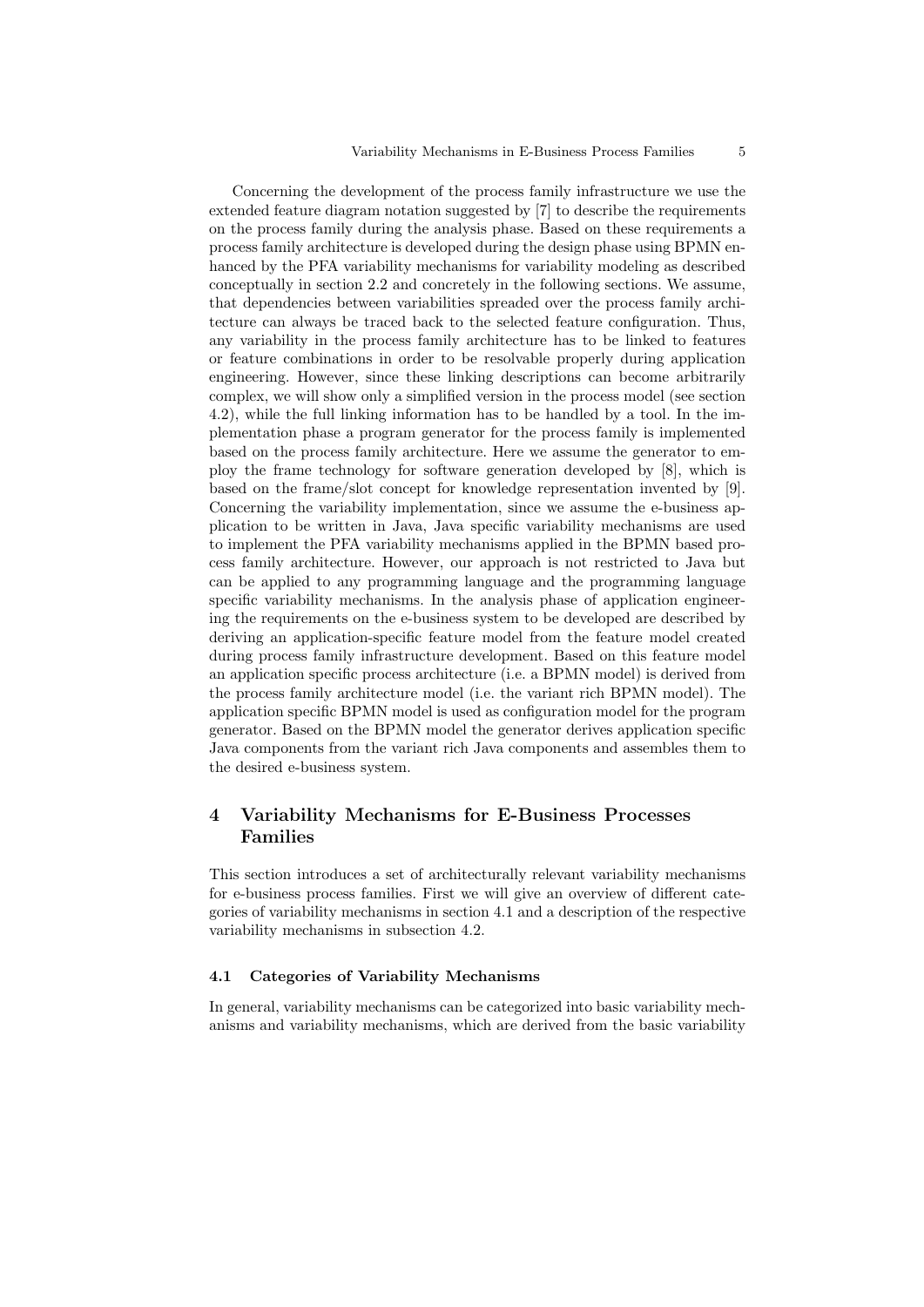Concerning the development of the process family infrastructure we use the extended feature diagram notation suggested by [7] to describe the requirements on the process family during the analysis phase. Based on these requirements a process family architecture is developed during the design phase using BPMN enhanced by the PFA variability mechanisms for variability modeling as described conceptually in section 2.2 and concretely in the following sections. We assume, that dependencies between variabilities spreaded over the process family architecture can always be traced back to the selected feature configuration. Thus, any variability in the process family architecture has to be linked to features or feature combinations in order to be resolvable properly during application engineering. However, since these linking descriptions can become arbitrarily complex, we will show only a simplified version in the process model (see section 4.2), while the full linking information has to be handled by a tool. In the implementation phase a program generator for the process family is implemented based on the process family architecture. Here we assume the generator to employ the frame technology for software generation developed by [8], which is based on the frame/slot concept for knowledge representation invented by [9]. Concerning the variability implementation, since we assume the e-business application to be written in Java, Java specific variability mechanisms are used to implement the PFA variability mechanisms applied in the BPMN based process family architecture. However, our approach is not restricted to Java but can be applied to any programming language and the programming language specific variability mechanisms. In the analysis phase of application engineering the requirements on the e-business system to be developed are described by deriving an application-specific feature model from the feature model created during process family infrastructure development. Based on this feature model an application specific process architecture (i.e. a BPMN model) is derived from the process family architecture model (i.e. the variant rich BPMN model). The application specific BPMN model is used as configuration model for the program generator. Based on the BPMN model the generator derives application specific Java components from the variant rich Java components and assembles them to the desired e-business system.

# 4 Variability Mechanisms for E-Business Processes Families

This section introduces a set of architecturally relevant variability mechanisms for e-business process families. First we will give an overview of different categories of variability mechanisms in section 4.1 and a description of the respective variability mechanisms in subsection 4.2.

# 4.1 Categories of Variability Mechanisms

In general, variability mechanisms can be categorized into basic variability mechanisms and variability mechanisms, which are derived from the basic variability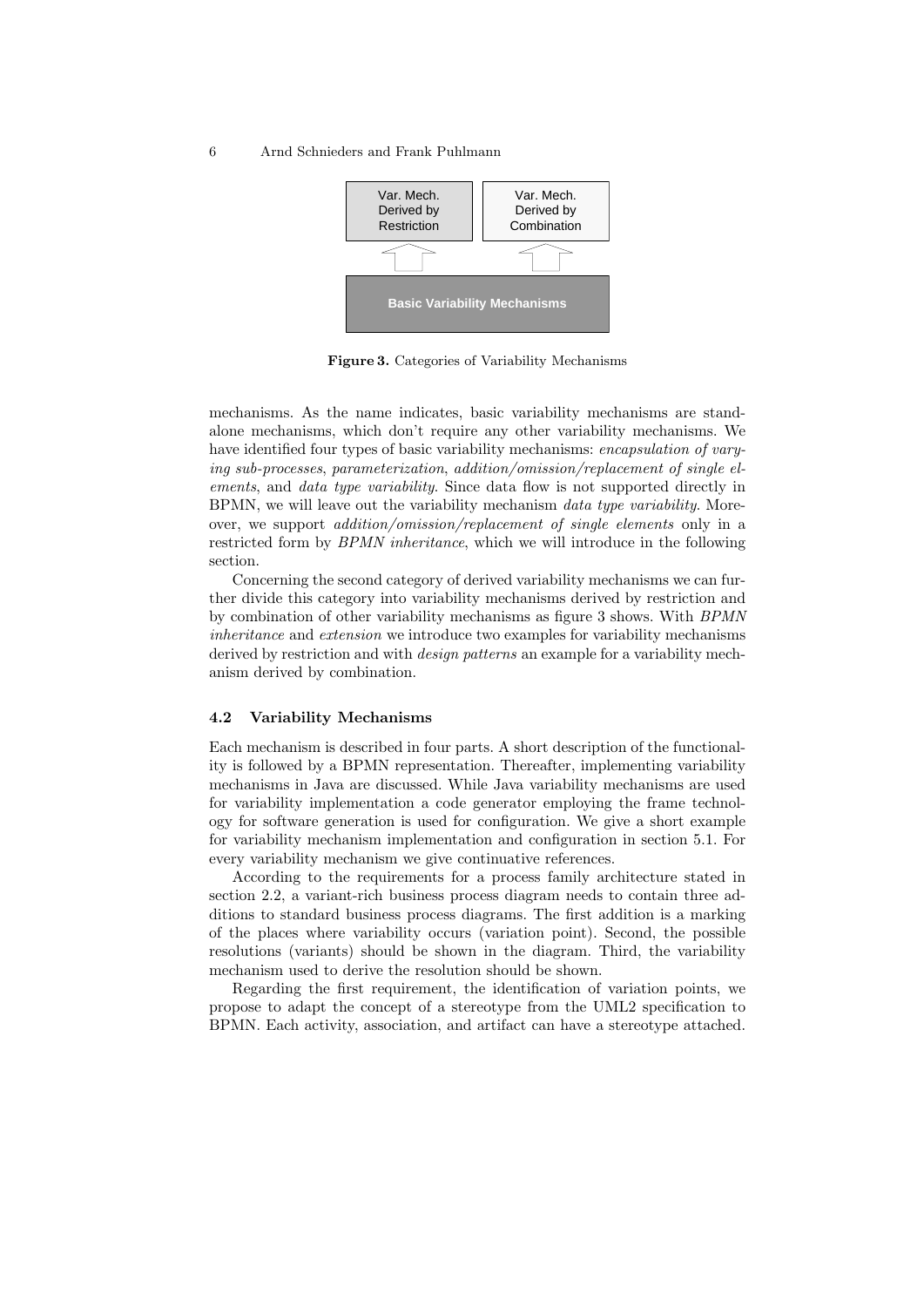

Figure 3. Categories of Variability Mechanisms

mechanisms. As the name indicates, basic variability mechanisms are standalone mechanisms, which don't require any other variability mechanisms. We have identified four types of basic variability mechanisms: encapsulation of varying sub-processes, parameterization, addition/omission/replacement of single elements, and data type variability. Since data flow is not supported directly in BPMN, we will leave out the variability mechanism data type variability. Moreover, we support addition/omission/replacement of single elements only in a restricted form by BPMN inheritance, which we will introduce in the following section.

Concerning the second category of derived variability mechanisms we can further divide this category into variability mechanisms derived by restriction and by combination of other variability mechanisms as figure 3 shows. With BPMN inheritance and extension we introduce two examples for variability mechanisms derived by restriction and with *design patterns* an example for a variability mechanism derived by combination.

#### 4.2 Variability Mechanisms

Each mechanism is described in four parts. A short description of the functionality is followed by a BPMN representation. Thereafter, implementing variability mechanisms in Java are discussed. While Java variability mechanisms are used for variability implementation a code generator employing the frame technology for software generation is used for configuration. We give a short example for variability mechanism implementation and configuration in section 5.1. For every variability mechanism we give continuative references.

According to the requirements for a process family architecture stated in section 2.2, a variant-rich business process diagram needs to contain three additions to standard business process diagrams. The first addition is a marking of the places where variability occurs (variation point). Second, the possible resolutions (variants) should be shown in the diagram. Third, the variability mechanism used to derive the resolution should be shown.

Regarding the first requirement, the identification of variation points, we propose to adapt the concept of a stereotype from the UML2 specification to BPMN. Each activity, association, and artifact can have a stereotype attached.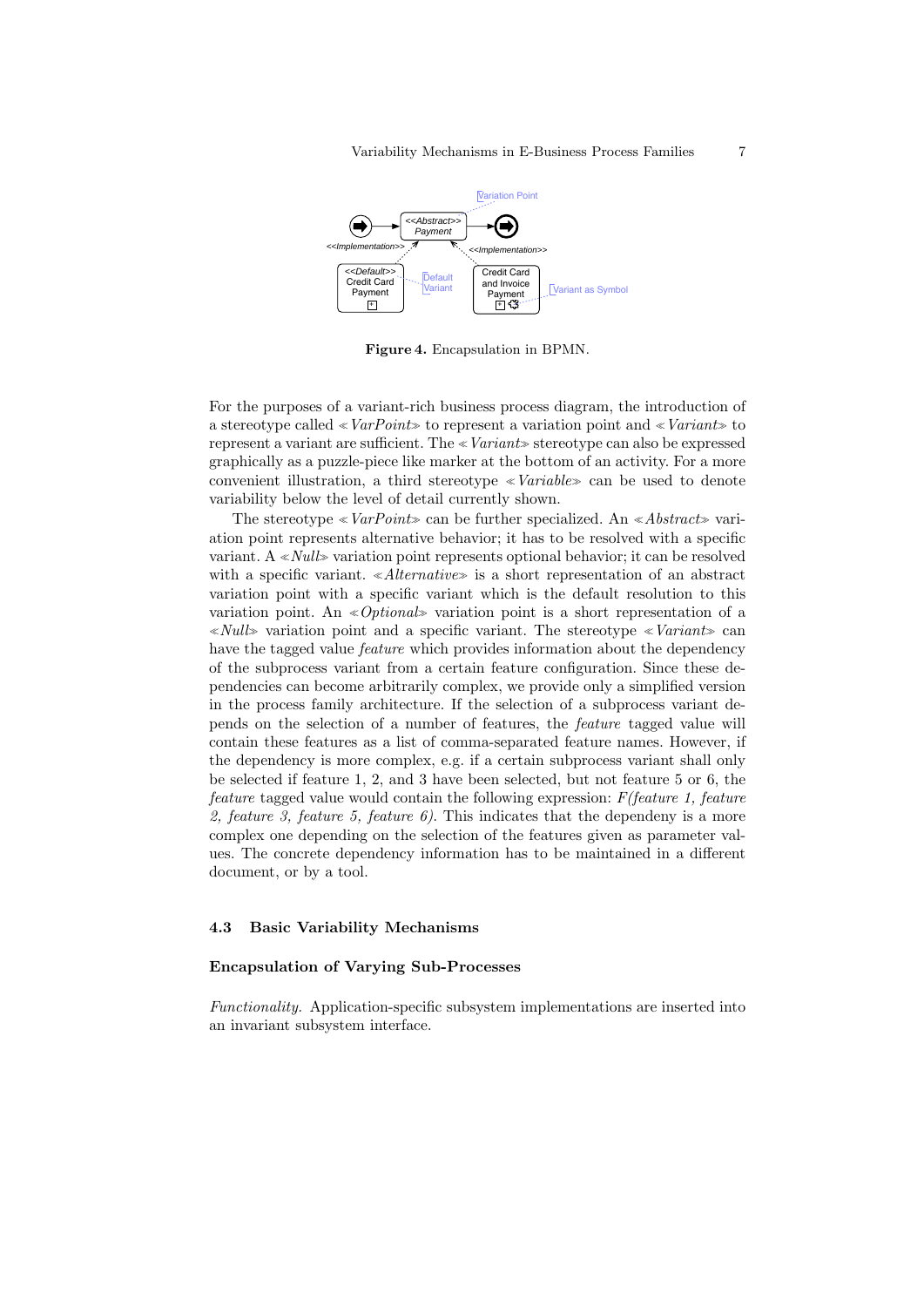

Figure 4. Encapsulation in BPMN.

For the purposes of a variant-rich business process diagram, the introduction of a stereotype called  $\ll VarPoint \gg$  to represent a variation point and  $\ll Variant \gg$  to represent a variant are sufficient. The  $\ll Variant$  stereotype can also be expressed graphically as a puzzle-piece like marker at the bottom of an activity. For a more convenient illustration, a third stereotype  $\ll$  Variable can be used to denote variability below the level of detail currently shown.

The stereotype  $\ll VarPoint \gg$  can be further specialized. An  $\ll Abstract \gg$  variation point represents alternative behavior; it has to be resolved with a specific variant.  $A \ll Null$  variation point represents optional behavior; it can be resolved with a specific variant.  $\ll$ Alternative is a short representation of an abstract variation point with a specific variant which is the default resolution to this variation point. An  $\ll$  *Optional* variation point is a short representation of a  $\ll$ Null variation point and a specific variant. The stereotype  $\ll$  Variant can have the tagged value *feature* which provides information about the dependency of the subprocess variant from a certain feature configuration. Since these dependencies can become arbitrarily complex, we provide only a simplified version in the process family architecture. If the selection of a subprocess variant depends on the selection of a number of features, the *feature* tagged value will contain these features as a list of comma-separated feature names. However, if the dependency is more complex, e.g. if a certain subprocess variant shall only be selected if feature 1, 2, and 3 have been selected, but not feature 5 or 6, the feature tagged value would contain the following expression: F(feature 1, feature 2, feature 3, feature 5, feature 6). This indicates that the dependeny is a more complex one depending on the selection of the features given as parameter values. The concrete dependency information has to be maintained in a different document, or by a tool.

### 4.3 Basic Variability Mechanisms

### Encapsulation of Varying Sub-Processes

Functionality. Application-specific subsystem implementations are inserted into an invariant subsystem interface.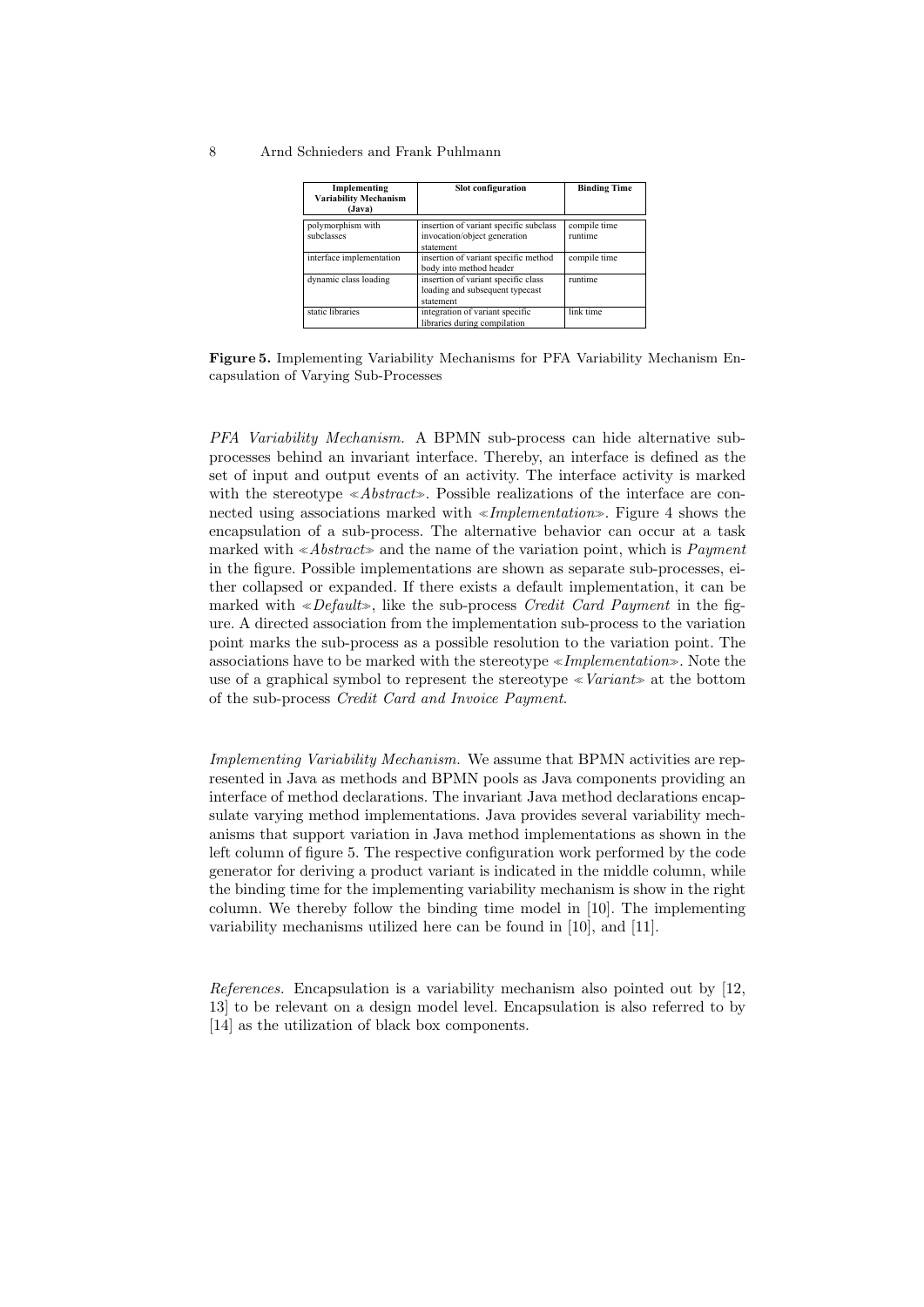| Implementing<br><b>Variability Mechanism</b><br>(Java) | <b>Slot configuration</b>                                                           | <b>Binding Time</b>     |
|--------------------------------------------------------|-------------------------------------------------------------------------------------|-------------------------|
| polymorphism with<br>subclasses                        | insertion of variant specific subclass<br>invocation/object generation<br>statement | compile time<br>runtime |
| interface implementation                               | insertion of variant specific method<br>body into method header                     | compile time            |
| dynamic class loading                                  | insertion of variant specific class<br>loading and subsequent typecast<br>statement | runtime                 |
| static libraries                                       | integration of variant specific<br>libraries during compilation                     | link time               |

Figure 5. Implementing Variability Mechanisms for PFA Variability Mechanism Encapsulation of Varying Sub-Processes

PFA Variability Mechanism. A BPMN sub-process can hide alternative subprocesses behind an invariant interface. Thereby, an interface is defined as the set of input and output events of an activity. The interface activity is marked with the stereotype  $\ll$ *Abstract*». Possible realizations of the interface are connected using associations marked with  $\ll Implement$  Figure 4 shows the encapsulation of a sub-process. The alternative behavior can occur at a task marked with  $\leq$  Abstract and the name of the variation point, which is *Payment* in the figure. Possible implementations are shown as separate sub-processes, either collapsed or expanded. If there exists a default implementation, it can be marked with  $\leq$ Default $\geq$ , like the sub-process *Credit Card Payment* in the figure. A directed association from the implementation sub-process to the variation point marks the sub-process as a possible resolution to the variation point. The associations have to be marked with the stereotype  $\leq$ Implementation. Note the use of a graphical symbol to represent the stereotype  $\ll Variant$  at the bottom of the sub-process Credit Card and Invoice Payment.

Implementing Variability Mechanism. We assume that BPMN activities are represented in Java as methods and BPMN pools as Java components providing an interface of method declarations. The invariant Java method declarations encapsulate varying method implementations. Java provides several variability mechanisms that support variation in Java method implementations as shown in the left column of figure 5. The respective configuration work performed by the code generator for deriving a product variant is indicated in the middle column, while the binding time for the implementing variability mechanism is show in the right column. We thereby follow the binding time model in [10]. The implementing variability mechanisms utilized here can be found in [10], and [11].

References. Encapsulation is a variability mechanism also pointed out by [12, 13] to be relevant on a design model level. Encapsulation is also referred to by [14] as the utilization of black box components.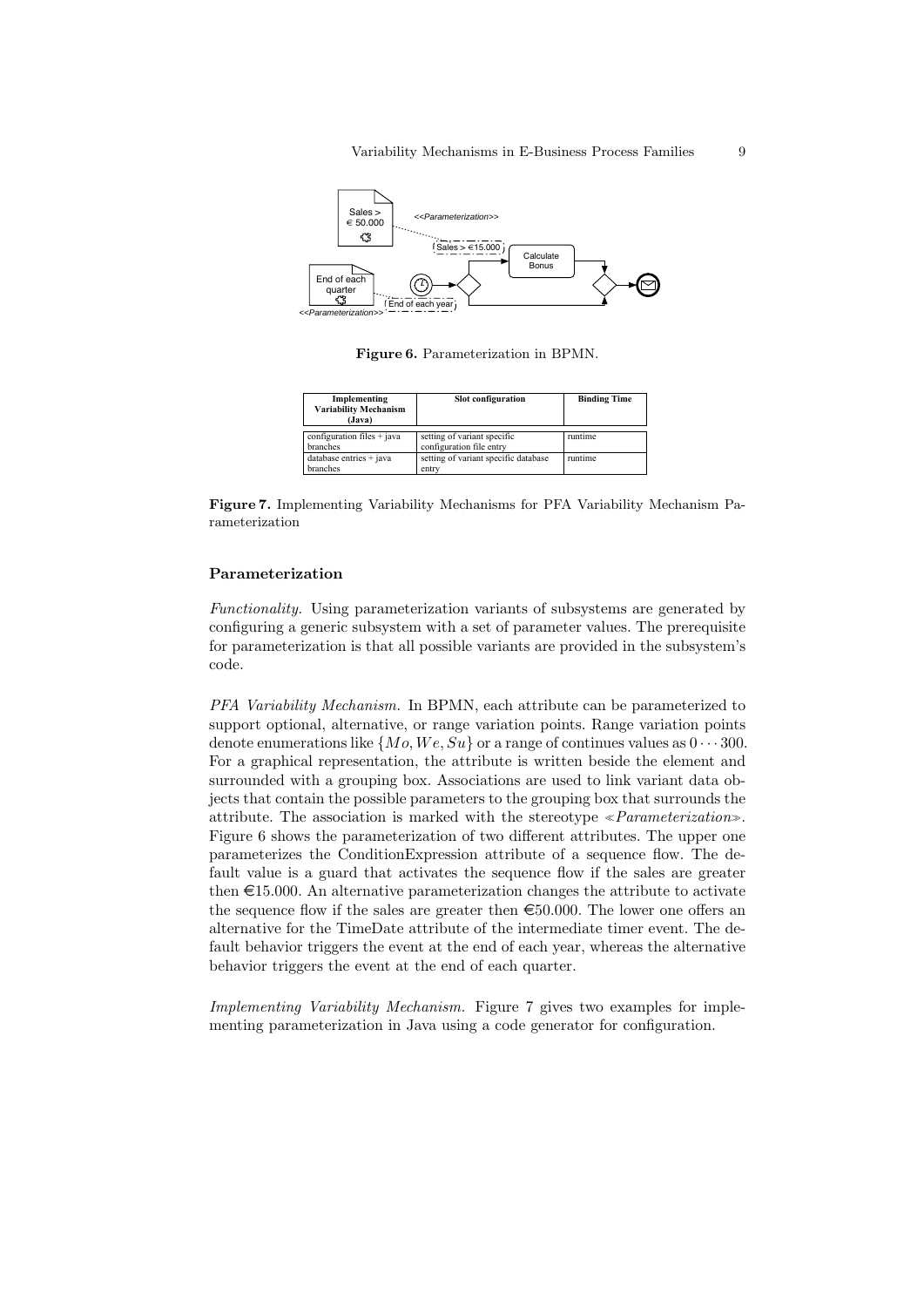

Figure 6. Parameterization in BPMN.

| Implementing<br><b>Variability Mechanism</b><br>( <b>Java</b> ) | Slot configuration                                      | <b>Binding Time</b> |
|-----------------------------------------------------------------|---------------------------------------------------------|---------------------|
| configuration files $+$ java<br>branches                        | setting of variant specific<br>configuration file entry | runtime             |
| database entries $+$ java<br>branches                           | setting of variant specific database<br>entry           | runtime             |

Figure 7. Implementing Variability Mechanisms for PFA Variability Mechanism Parameterization

#### Parameterization

Functionality. Using parameterization variants of subsystems are generated by configuring a generic subsystem with a set of parameter values. The prerequisite for parameterization is that all possible variants are provided in the subsystem's code.

PFA Variability Mechanism. In BPMN, each attribute can be parameterized to support optional, alternative, or range variation points. Range variation points denote enumerations like  $\{Mo, We, Su\}$  or a range of continues values as  $0 \cdots 300$ . For a graphical representation, the attribute is written beside the element and surrounded with a grouping box. Associations are used to link variant data objects that contain the possible parameters to the grouping box that surrounds the attribute. The association is marked with the stereotype  $\ll$  *Parameterization*. Figure 6 shows the parameterization of two different attributes. The upper one parameterizes the ConditionExpression attribute of a sequence flow. The default value is a guard that activates the sequence flow if the sales are greater then  $\epsilon$ 15.000. An alternative parameterization changes the attribute to activate the sequence flow if the sales are greater then  $\epsilon$ 50.000. The lower one offers an alternative for the TimeDate attribute of the intermediate timer event. The default behavior triggers the event at the end of each year, whereas the alternative behavior triggers the event at the end of each quarter.

Implementing Variability Mechanism. Figure 7 gives two examples for implementing parameterization in Java using a code generator for configuration.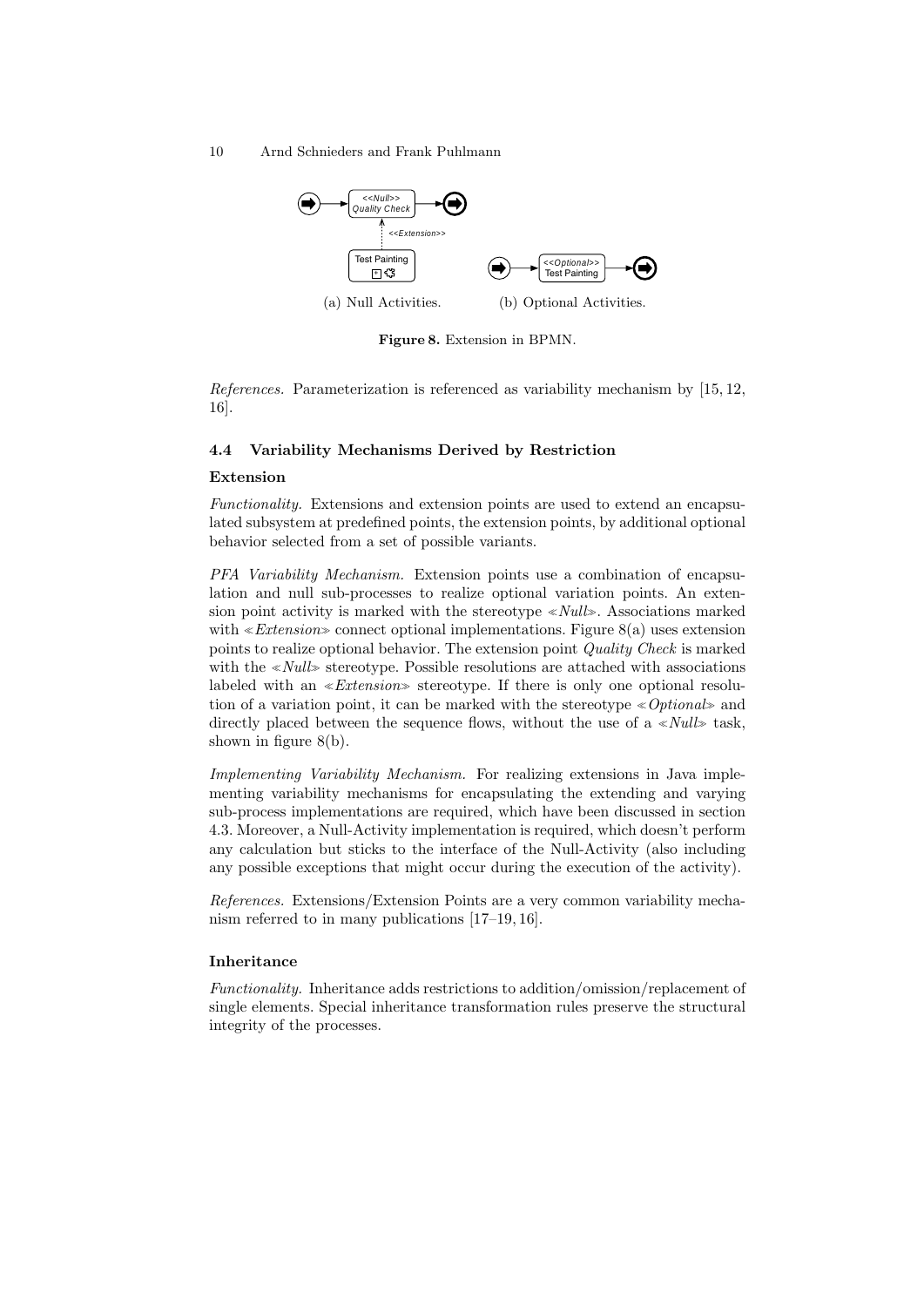10 Arnd Schnieders and Frank Puhlmann



Figure 8. Extension in BPMN.

References. Parameterization is referenced as variability mechanism by [15, 12, 16].

# 4.4 Variability Mechanisms Derived by Restriction

#### Extension

Functionality. Extensions and extension points are used to extend an encapsulated subsystem at predefined points, the extension points, by additional optional behavior selected from a set of possible variants.

PFA Variability Mechanism. Extension points use a combination of encapsulation and null sub-processes to realize optional variation points. An extension point activity is marked with the stereotype  $\ll$  Null. Associations marked with  $\ll$ *Extension* connect optional implementations. Figure 8(a) uses extension points to realize optional behavior. The extension point Quality Check is marked with the  $\ll$ Null» stereotype. Possible resolutions are attached with associations labeled with an  $\ll$ Extension stereotype. If there is only one optional resolution of a variation point, it can be marked with the stereotype  $\ll$  *Optional* and directly placed between the sequence flows, without the use of a  $\ll$  Null  $\gg$  task, shown in figure 8(b).

Implementing Variability Mechanism. For realizing extensions in Java implementing variability mechanisms for encapsulating the extending and varying sub-process implementations are required, which have been discussed in section 4.3. Moreover, a Null-Activity implementation is required, which doesn't perform any calculation but sticks to the interface of the Null-Activity (also including any possible exceptions that might occur during the execution of the activity).

References. Extensions/Extension Points are a very common variability mechanism referred to in many publications [17–19, 16].

## Inheritance

Functionality. Inheritance adds restrictions to addition/omission/replacement of single elements. Special inheritance transformation rules preserve the structural integrity of the processes.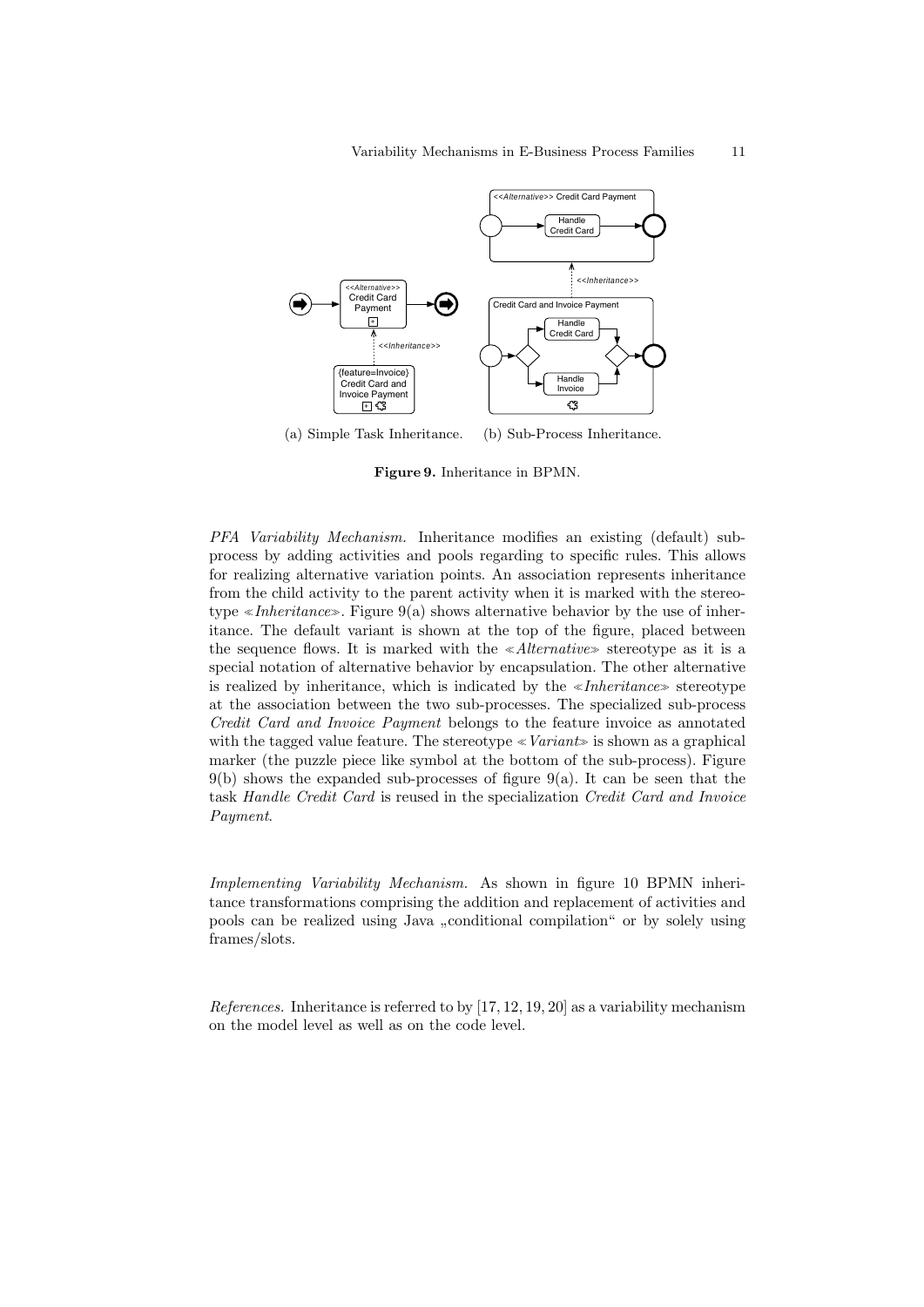

Figure 9. Inheritance in BPMN.

PFA Variability Mechanism. Inheritance modifies an existing (default) subprocess by adding activities and pools regarding to specific rules. This allows for realizing alternative variation points. An association represents inheritance from the child activity to the parent activity when it is marked with the stereotype  $\leq Inheritance$ . Figure 9(a) shows alternative behavior by the use of inheritance. The default variant is shown at the top of the figure, placed between the sequence flows. It is marked with the  $\ll$ Alternative stereotype as it is a special notation of alternative behavior by encapsulation. The other alternative is realized by inheritance, which is indicated by the  $\ll$ Inheritance stereotype at the association between the two sub-processes. The specialized sub-process Credit Card and Invoice Payment belongs to the feature invoice as annotated with the tagged value feature. The stereotype  $\ll$  Variant is shown as a graphical marker (the puzzle piece like symbol at the bottom of the sub-process). Figure  $9(b)$  shows the expanded sub-processes of figure  $9(a)$ . It can be seen that the task Handle Credit Card is reused in the specialization Credit Card and Invoice Payment.

Implementing Variability Mechanism. As shown in figure 10 BPMN inheritance transformations comprising the addition and replacement of activities and pools can be realized using Java "conditional compilation" or by solely using<br>frames (alots frames/slots.

References. Inheritance is referred to by  $[17, 12, 19, 20]$  as a variability mechanism on the model level as well as on the code level.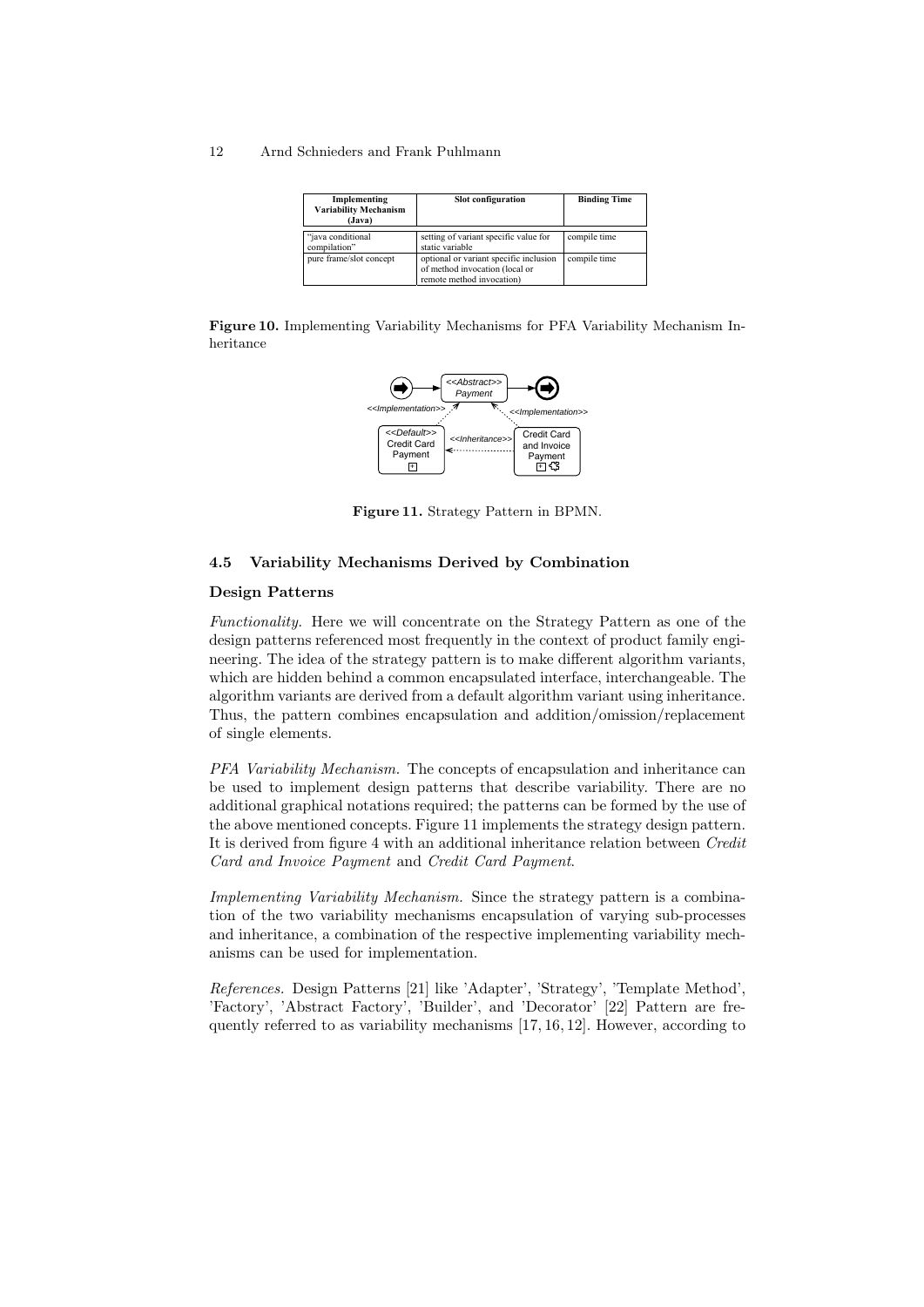| Implementing<br><b>Variability Mechanism</b><br>( <b>Java</b> ) | Slot configuration                                                                                    | <b>Binding Time</b> |
|-----------------------------------------------------------------|-------------------------------------------------------------------------------------------------------|---------------------|
| "java conditional<br>compilation"                               | setting of variant specific value for<br>static variable                                              | compile time        |
| pure frame/slot concept                                         | optional or variant specific inclusion<br>of method invocation (local or<br>remote method invocation) | compile time        |

Figure 10. Implementing Variability Mechanisms for PFA Variability Mechanism Inheritance



Figure 11. Strategy Pattern in BPMN.

# 4.5 Variability Mechanisms Derived by Combination

# Design Patterns

Functionality. Here we will concentrate on the Strategy Pattern as one of the design patterns referenced most frequently in the context of product family engineering. The idea of the strategy pattern is to make different algorithm variants, which are hidden behind a common encapsulated interface, interchangeable. The algorithm variants are derived from a default algorithm variant using inheritance. Thus, the pattern combines encapsulation and addition/omission/replacement of single elements.

PFA Variability Mechanism. The concepts of encapsulation and inheritance can be used to implement design patterns that describe variability. There are no additional graphical notations required; the patterns can be formed by the use of the above mentioned concepts. Figure 11 implements the strategy design pattern. It is derived from figure 4 with an additional inheritance relation between Credit Card and Invoice Payment and Credit Card Payment.

Implementing Variability Mechanism. Since the strategy pattern is a combination of the two variability mechanisms encapsulation of varying sub-processes and inheritance, a combination of the respective implementing variability mechanisms can be used for implementation.

References. Design Patterns [21] like 'Adapter', 'Strategy', 'Template Method', 'Factory', 'Abstract Factory', 'Builder', and 'Decorator' [22] Pattern are frequently referred to as variability mechanisms [17, 16, 12]. However, according to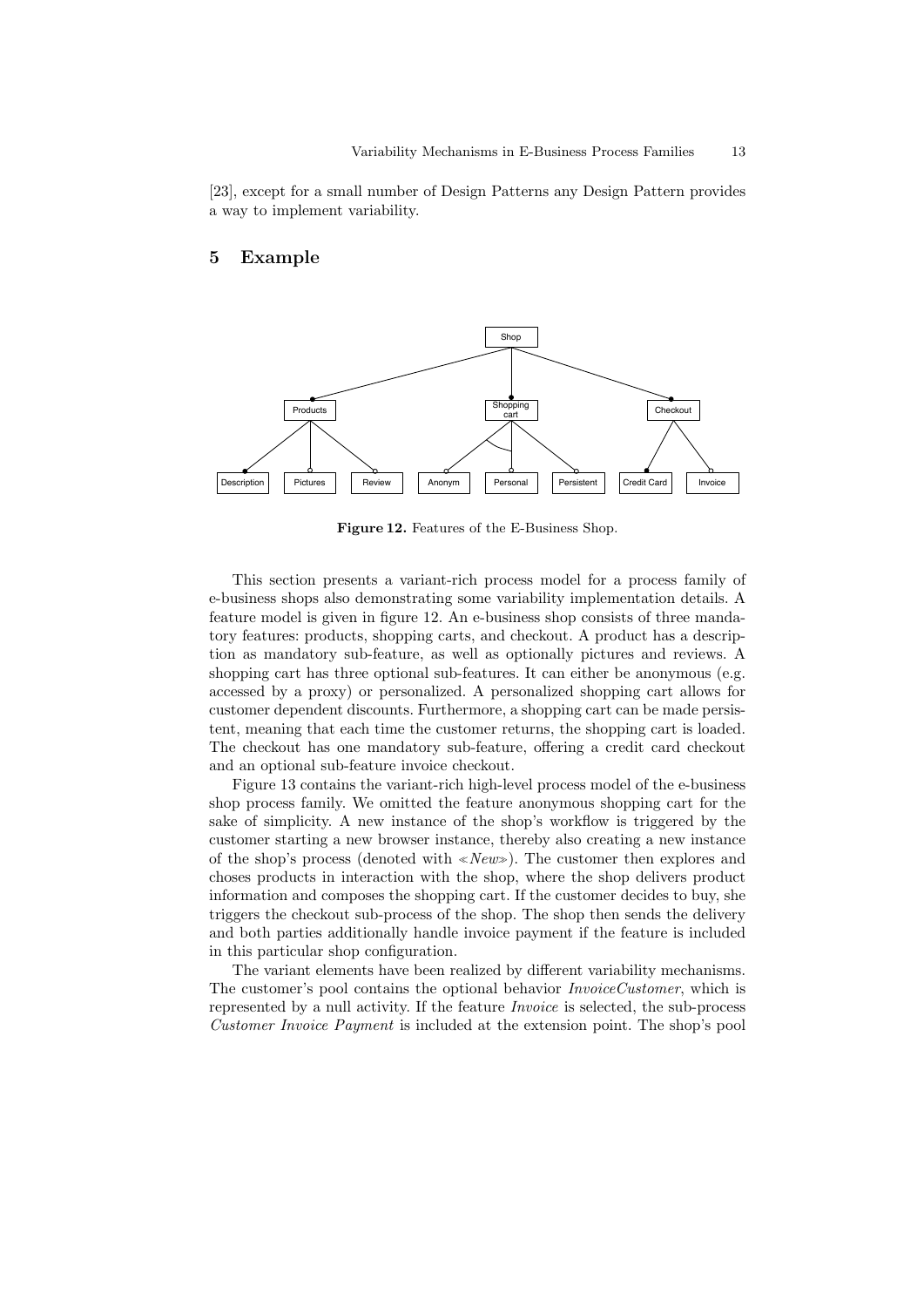[23], except for a small number of Design Patterns any Design Pattern provides a way to implement variability.

# 5 Example



Figure 12. Features of the E-Business Shop.

This section presents a variant-rich process model for a process family of e-business shops also demonstrating some variability implementation details. A feature model is given in figure 12. An e-business shop consists of three mandatory features: products, shopping carts, and checkout. A product has a description as mandatory sub-feature, as well as optionally pictures and reviews. A shopping cart has three optional sub-features. It can either be anonymous (e.g. accessed by a proxy) or personalized. A personalized shopping cart allows for customer dependent discounts. Furthermore, a shopping cart can be made persistent, meaning that each time the customer returns, the shopping cart is loaded. The checkout has one mandatory sub-feature, offering a credit card checkout and an optional sub-feature invoice checkout.

Figure 13 contains the variant-rich high-level process model of the e-business shop process family. We omitted the feature anonymous shopping cart for the sake of simplicity. A new instance of the shop's workflow is triggered by the customer starting a new browser instance, thereby also creating a new instance of the shop's process (denoted with  $\ll New$ ). The customer then explores and choses products in interaction with the shop, where the shop delivers product information and composes the shopping cart. If the customer decides to buy, she triggers the checkout sub-process of the shop. The shop then sends the delivery and both parties additionally handle invoice payment if the feature is included in this particular shop configuration.

The variant elements have been realized by different variability mechanisms. The customer's pool contains the optional behavior *InvoiceCustomer*, which is represented by a null activity. If the feature Invoice is selected, the sub-process Customer Invoice Payment is included at the extension point. The shop's pool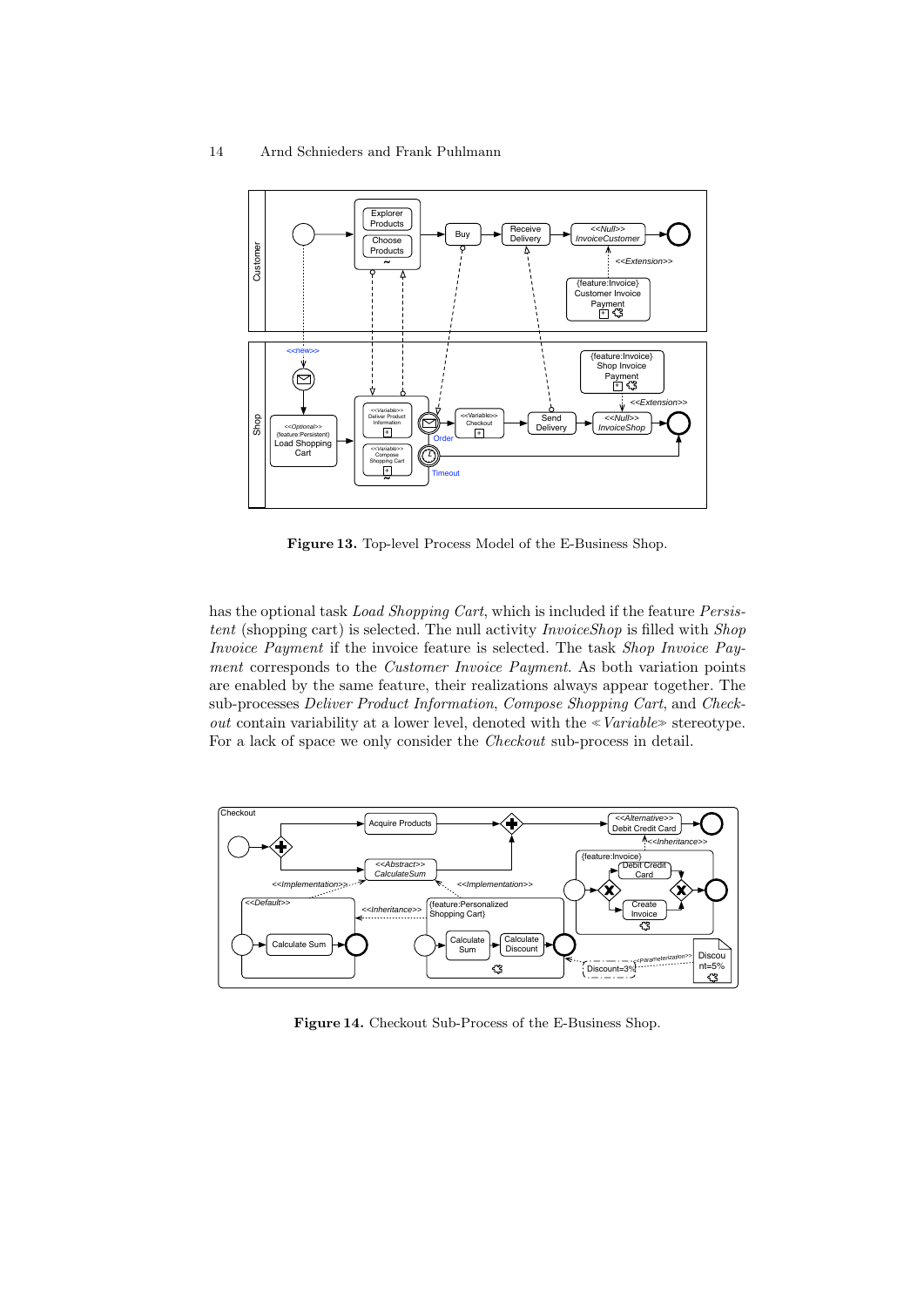

Figure 13. Top-level Process Model of the E-Business Shop.

has the optional task *Load Shopping Cart*, which is included if the feature *Persis*tent (shopping cart) is selected. The null activity *InvoiceShop* is filled with *Shop* Invoice Payment if the invoice feature is selected. The task Shop Invoice Payment corresponds to the Customer Invoice Payment. As both variation points are enabled by the same feature, their realizations always appear together. The sub-processes Deliver Product Information, Compose Shopping Cart, and Check*out* contain variability at a lower level, denoted with the  $\ll$  *Variable* stereotype. For a lack of space we only consider the Checkout sub-process in detail.



Figure 14. Checkout Sub-Process of the E-Business Shop.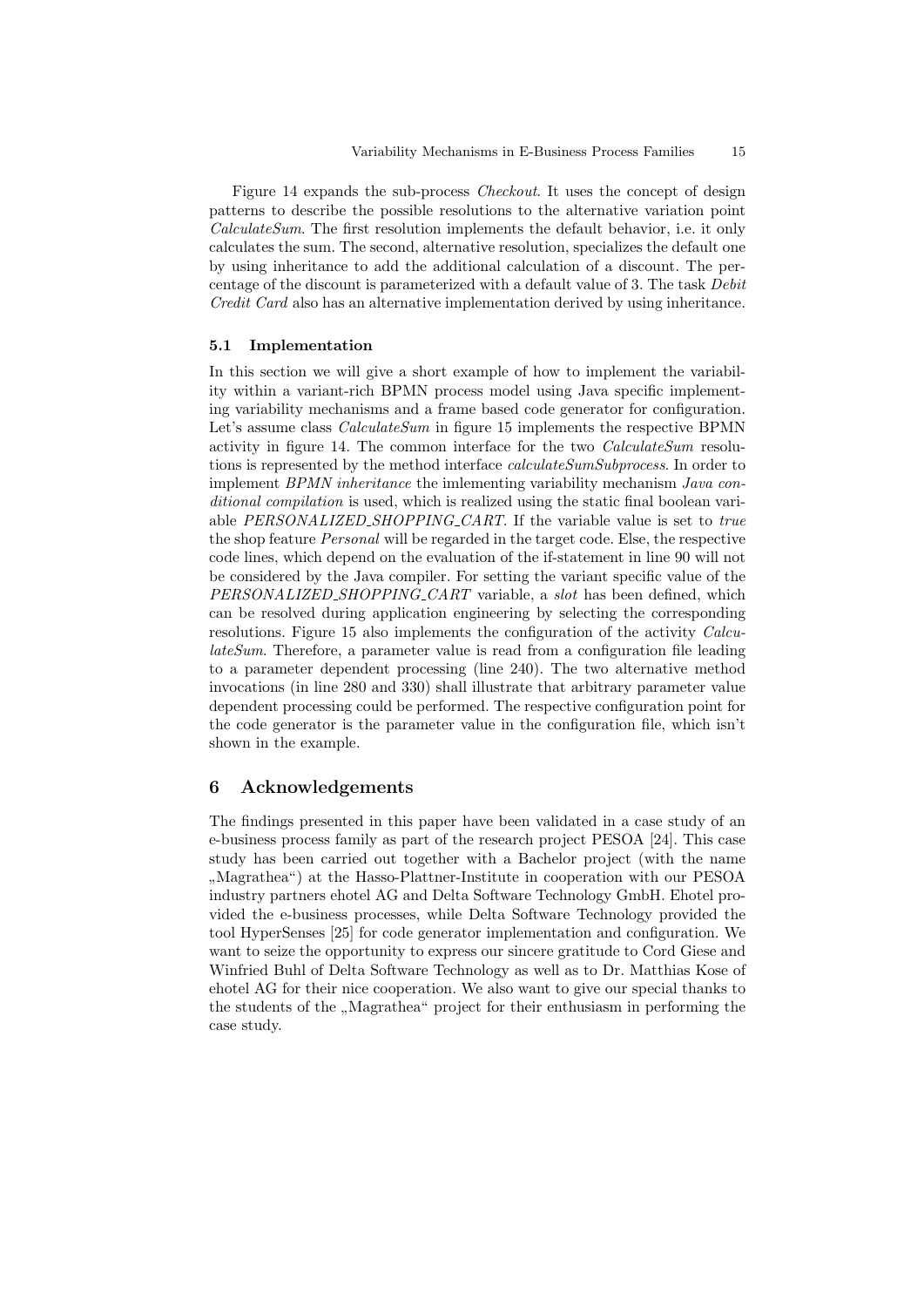Figure 14 expands the sub-process Checkout. It uses the concept of design patterns to describe the possible resolutions to the alternative variation point CalculateSum. The first resolution implements the default behavior, i.e. it only calculates the sum. The second, alternative resolution, specializes the default one by using inheritance to add the additional calculation of a discount. The percentage of the discount is parameterized with a default value of 3. The task Debit Credit Card also has an alternative implementation derived by using inheritance.

# 5.1 Implementation

In this section we will give a short example of how to implement the variability within a variant-rich BPMN process model using Java specific implementing variability mechanisms and a frame based code generator for configuration. Let's assume class *CalculateSum* in figure 15 implements the respective BPMN activity in figure 14. The common interface for the two *CalculateSum* resolutions is represented by the method interface *calculateSumSubprocess*. In order to implement BPMN inheritance the imlementing variability mechanism Java conditional compilation is used, which is realized using the static final boolean variable PERSONALIZED\_SHOPPING\_CART. If the variable value is set to true the shop feature Personal will be regarded in the target code. Else, the respective code lines, which depend on the evaluation of the if-statement in line 90 will not be considered by the Java compiler. For setting the variant specific value of the PERSONALIZED\_SHOPPING\_CART variable, a slot has been defined, which can be resolved during application engineering by selecting the corresponding resolutions. Figure 15 also implements the configuration of the activity CalculateSum. Therefore, a parameter value is read from a configuration file leading to a parameter dependent processing (line 240). The two alternative method invocations (in line 280 and 330) shall illustrate that arbitrary parameter value dependent processing could be performed. The respective configuration point for the code generator is the parameter value in the configuration file, which isn't shown in the example.

# 6 Acknowledgements

The findings presented in this paper have been validated in a case study of an e-business process family as part of the research project PESOA [24]. This case study has been carried out together with a Bachelor project (with the name magnathed f at the Hasso I lattification in cooperation with our TESON industry partners ehotel AG and Delta Software Technology GmbH. Ehotel pro-Magrathea") at the Hasso-Plattner-Institute in cooperation with our PESOA vided the e-business processes, while Delta Software Technology provided the tool HyperSenses [25] for code generator implementation and configuration. We want to seize the opportunity to express our sincere gratitude to Cord Giese and Winfried Buhl of Delta Software Technology as well as to Dr. Matthias Kose of ehotel AG for their nice cooperation. We also want to give our special thanks to the students of the "Magrathea" project for their enthusiasm in performing the case study.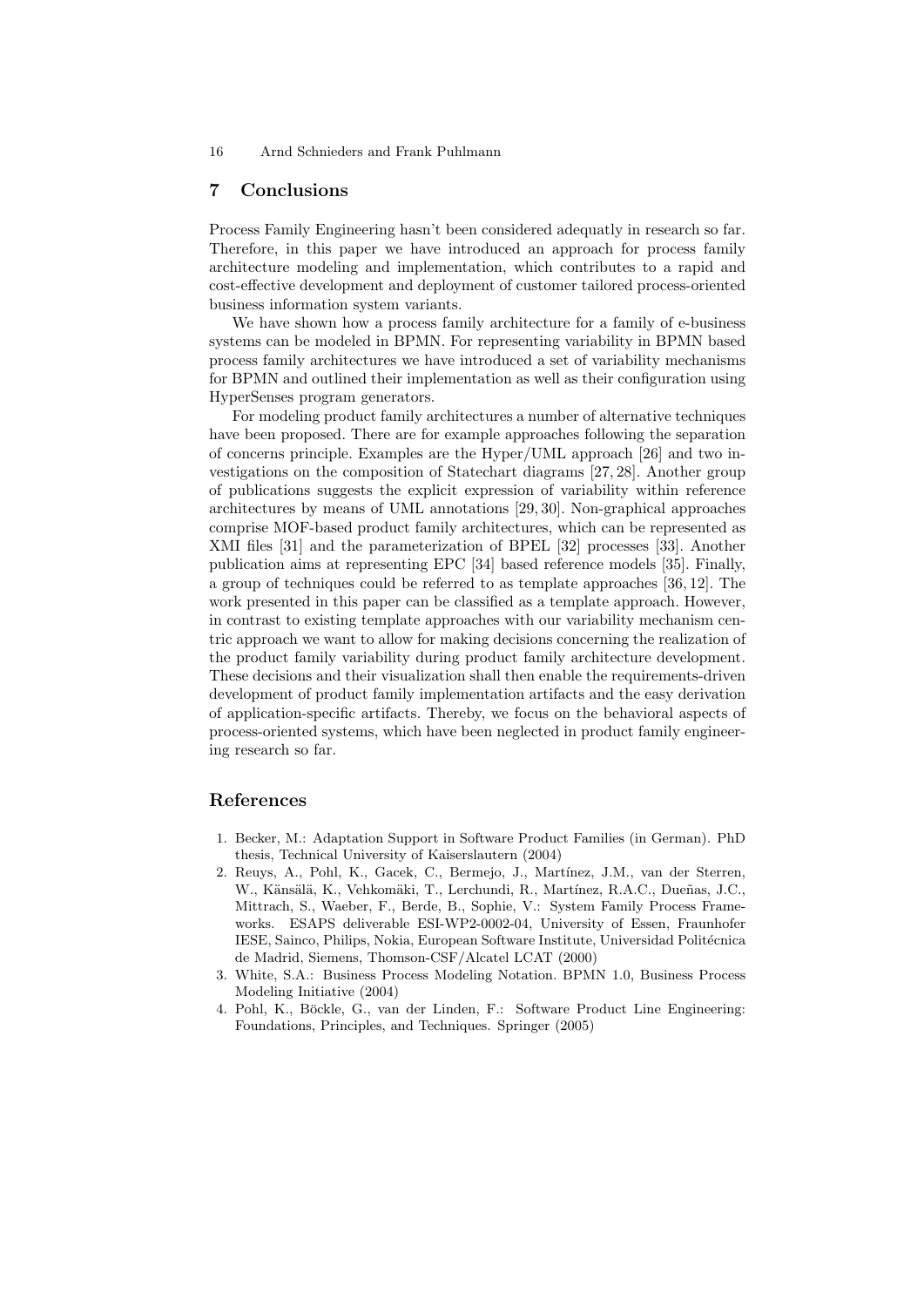# 7 Conclusions

Process Family Engineering hasn't been considered adequatly in research so far. Therefore, in this paper we have introduced an approach for process family architecture modeling and implementation, which contributes to a rapid and cost-effective development and deployment of customer tailored process-oriented business information system variants.

We have shown how a process family architecture for a family of e-business systems can be modeled in BPMN. For representing variability in BPMN based process family architectures we have introduced a set of variability mechanisms for BPMN and outlined their implementation as well as their configuration using HyperSenses program generators.

For modeling product family architectures a number of alternative techniques have been proposed. There are for example approaches following the separation of concerns principle. Examples are the Hyper/UML approach [26] and two investigations on the composition of Statechart diagrams [27, 28]. Another group of publications suggests the explicit expression of variability within reference architectures by means of UML annotations [29, 30]. Non-graphical approaches comprise MOF-based product family architectures, which can be represented as XMI files [31] and the parameterization of BPEL [32] processes [33]. Another publication aims at representing EPC [34] based reference models [35]. Finally, a group of techniques could be referred to as template approaches [36, 12]. The work presented in this paper can be classified as a template approach. However, in contrast to existing template approaches with our variability mechanism centric approach we want to allow for making decisions concerning the realization of the product family variability during product family architecture development. These decisions and their visualization shall then enable the requirements-driven development of product family implementation artifacts and the easy derivation of application-specific artifacts. Thereby, we focus on the behavioral aspects of process-oriented systems, which have been neglected in product family engineering research so far.

# References

- 1. Becker, M.: Adaptation Support in Software Product Families (in German). PhD thesis, Technical University of Kaiserslautern (2004)
- 2. Reuys, A., Pohl, K., Gacek, C., Bermejo, J., Martínez, J.M., van der Sterren, W., Känsälä, K., Vehkomäki, T., Lerchundi, R., Martínez, R.A.C., Dueñas, J.C., Mittrach, S., Waeber, F., Berde, B., Sophie, V.: System Family Process Frameworks. ESAPS deliverable ESI-WP2-0002-04, University of Essen, Fraunhofer IESE, Sainco, Philips, Nokia, European Software Institute, Universidad Politécnica de Madrid, Siemens, Thomson-CSF/Alcatel LCAT (2000)
- 3. White, S.A.: Business Process Modeling Notation. BPMN 1.0, Business Process Modeling Initiative (2004)
- 4. Pohl, K., Böckle, G., van der Linden, F.: Software Product Line Engineering: Foundations, Principles, and Techniques. Springer (2005)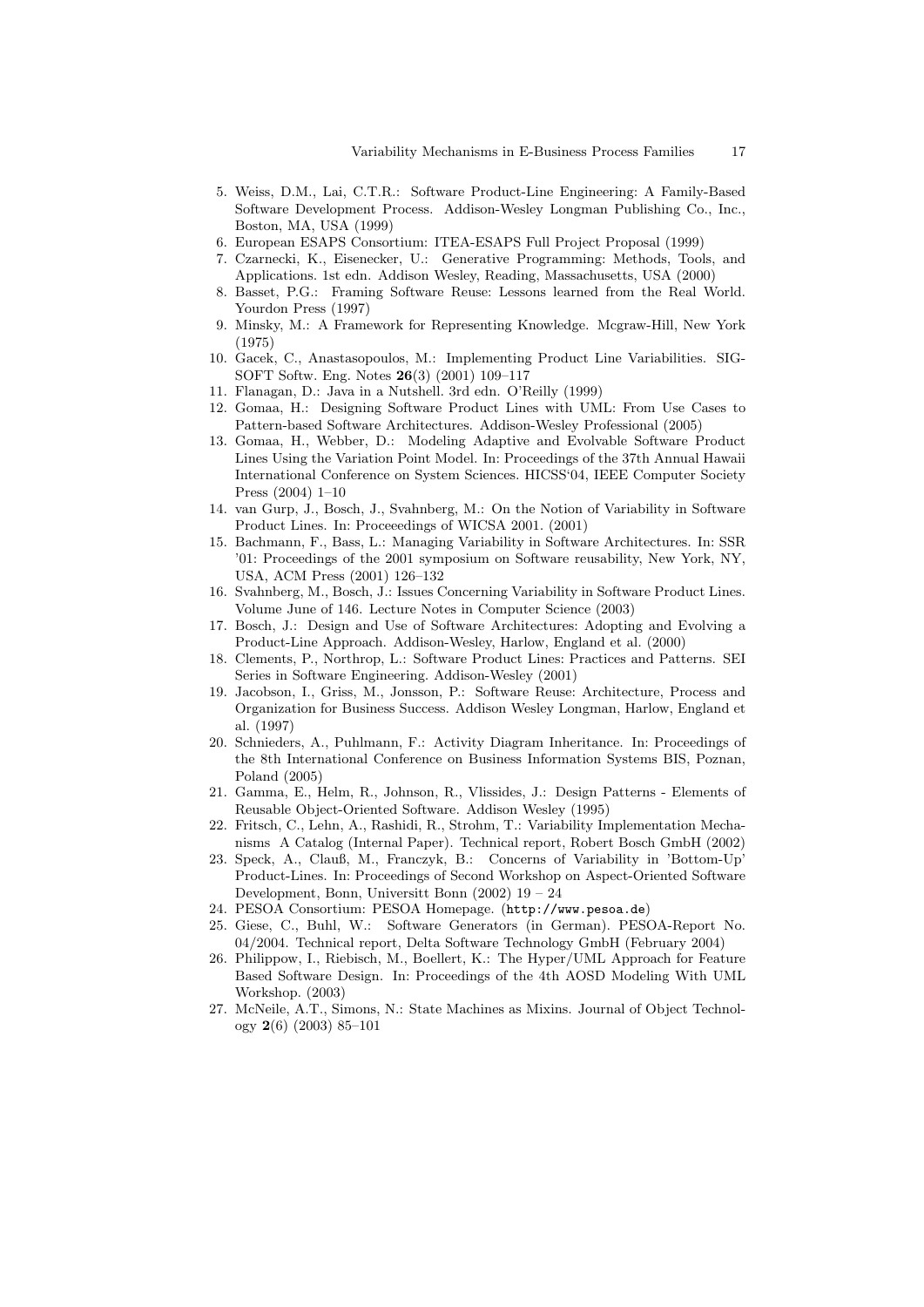- 5. Weiss, D.M., Lai, C.T.R.: Software Product-Line Engineering: A Family-Based Software Development Process. Addison-Wesley Longman Publishing Co., Inc., Boston, MA, USA (1999)
- 6. European ESAPS Consortium: ITEA-ESAPS Full Project Proposal (1999)
- 7. Czarnecki, K., Eisenecker, U.: Generative Programming: Methods, Tools, and Applications. 1st edn. Addison Wesley, Reading, Massachusetts, USA (2000)
- 8. Basset, P.G.: Framing Software Reuse: Lessons learned from the Real World. Yourdon Press (1997)
- 9. Minsky, M.: A Framework for Representing Knowledge. Mcgraw-Hill, New York (1975)
- 10. Gacek, C., Anastasopoulos, M.: Implementing Product Line Variabilities. SIG-SOFT Softw. Eng. Notes 26(3) (2001) 109–117
- 11. Flanagan, D.: Java in a Nutshell. 3rd edn. O'Reilly (1999)
- 12. Gomaa, H.: Designing Software Product Lines with UML: From Use Cases to Pattern-based Software Architectures. Addison-Wesley Professional (2005)
- 13. Gomaa, H., Webber, D.: Modeling Adaptive and Evolvable Software Product Lines Using the Variation Point Model. In: Proceedings of the 37th Annual Hawaii International Conference on System Sciences. HICSS'04, IEEE Computer Society Press (2004) 1–10
- 14. van Gurp, J., Bosch, J., Svahnberg, M.: On the Notion of Variability in Software Product Lines. In: Proceeedings of WICSA 2001. (2001)
- 15. Bachmann, F., Bass, L.: Managing Variability in Software Architectures. In: SSR '01: Proceedings of the 2001 symposium on Software reusability, New York, NY, USA, ACM Press (2001) 126–132
- 16. Svahnberg, M., Bosch, J.: Issues Concerning Variability in Software Product Lines. Volume June of 146. Lecture Notes in Computer Science (2003)
- 17. Bosch, J.: Design and Use of Software Architectures: Adopting and Evolving a Product-Line Approach. Addison-Wesley, Harlow, England et al. (2000)
- 18. Clements, P., Northrop, L.: Software Product Lines: Practices and Patterns. SEI Series in Software Engineering. Addison-Wesley (2001)
- 19. Jacobson, I., Griss, M., Jonsson, P.: Software Reuse: Architecture, Process and Organization for Business Success. Addison Wesley Longman, Harlow, England et al. (1997)
- 20. Schnieders, A., Puhlmann, F.: Activity Diagram Inheritance. In: Proceedings of the 8th International Conference on Business Information Systems BIS, Poznan, Poland (2005)
- 21. Gamma, E., Helm, R., Johnson, R., Vlissides, J.: Design Patterns Elements of Reusable Object-Oriented Software. Addison Wesley (1995)
- 22. Fritsch, C., Lehn, A., Rashidi, R., Strohm, T.: Variability Implementation Mechanisms A Catalog (Internal Paper). Technical report, Robert Bosch GmbH (2002)
- 23. Speck, A., Clauß, M., Franczyk, B.: Concerns of Variability in 'Bottom-Up' Product-Lines. In: Proceedings of Second Workshop on Aspect-Oriented Software Development, Bonn, Universitt Bonn (2002) 19 – 24
- 24. PESOA Consortium: PESOA Homepage. (http://www.pesoa.de)
- 25. Giese, C., Buhl, W.: Software Generators (in German). PESOA-Report No. 04/2004. Technical report, Delta Software Technology GmbH (February 2004)
- 26. Philippow, I., Riebisch, M., Boellert, K.: The Hyper/UML Approach for Feature Based Software Design. In: Proceedings of the 4th AOSD Modeling With UML Workshop. (2003)
- 27. McNeile, A.T., Simons, N.: State Machines as Mixins. Journal of Object Technology 2(6) (2003) 85–101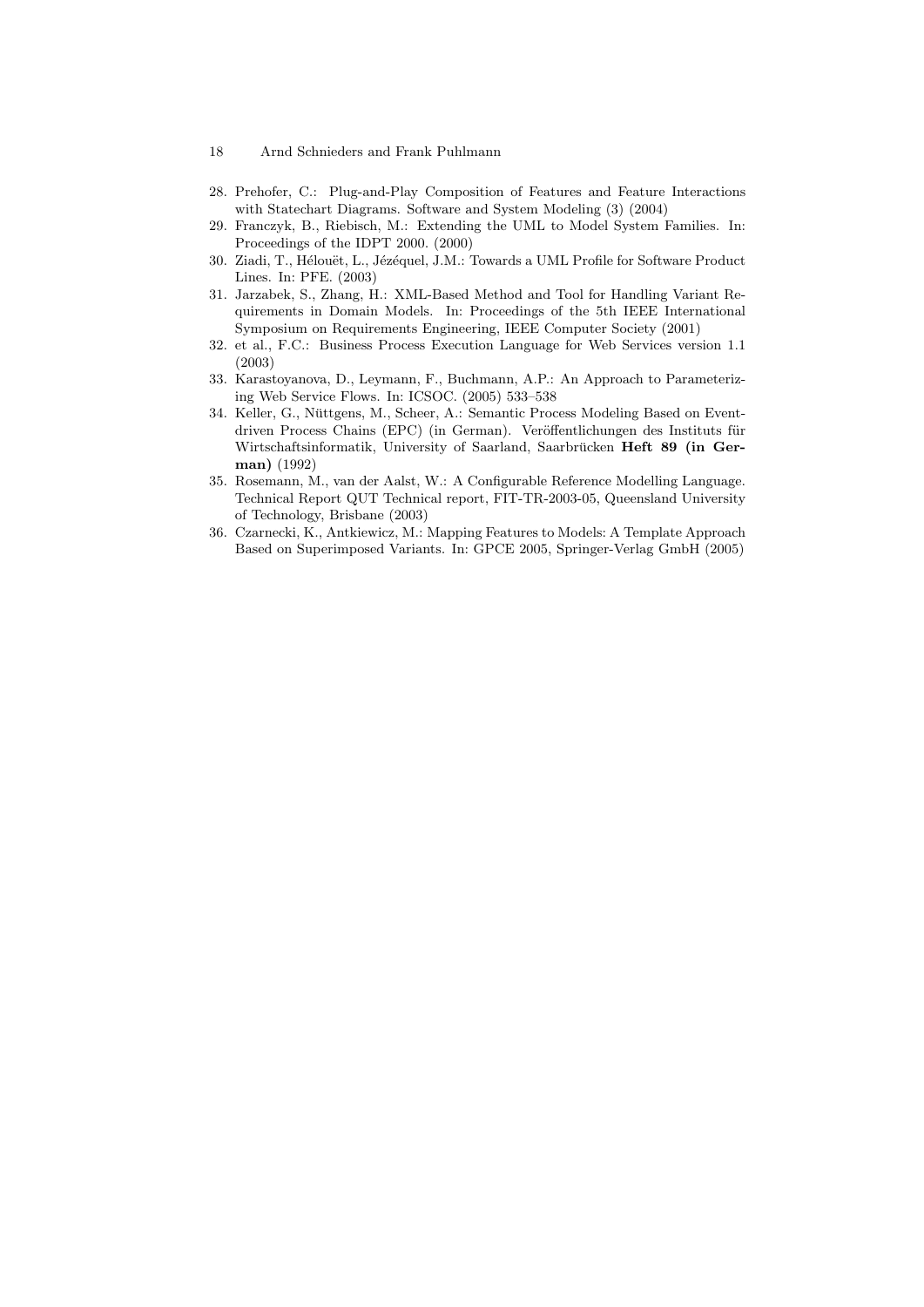- 18 Arnd Schnieders and Frank Puhlmann
- 28. Prehofer, C.: Plug-and-Play Composition of Features and Feature Interactions with Statechart Diagrams. Software and System Modeling (3) (2004)
- 29. Franczyk, B., Riebisch, M.: Extending the UML to Model System Families. In: Proceedings of the IDPT 2000. (2000)
- 30. Ziadi, T., Hélouët, L., Jézéquel, J.M.: Towards a UML Profile for Software Product Lines. In: PFE. (2003)
- 31. Jarzabek, S., Zhang, H.: XML-Based Method and Tool for Handling Variant Requirements in Domain Models. In: Proceedings of the 5th IEEE International Symposium on Requirements Engineering, IEEE Computer Society (2001)
- 32. et al., F.C.: Business Process Execution Language for Web Services version 1.1 (2003)
- 33. Karastoyanova, D., Leymann, F., Buchmann, A.P.: An Approach to Parameterizing Web Service Flows. In: ICSOC. (2005) 533–538
- 34. Keller, G., Nuttgens, M., Scheer, A.: Semantic Process Modeling Based on Event- ¨ driven Process Chains (EPC) (in German). Veröffentlichungen des Instituts für Wirtschaftsinformatik, University of Saarland, Saarbrücken Heft 89 (in German) (1992)
- 35. Rosemann, M., van der Aalst, W.: A Configurable Reference Modelling Language. Technical Report QUT Technical report, FIT-TR-2003-05, Queensland University of Technology, Brisbane (2003)
- 36. Czarnecki, K., Antkiewicz, M.: Mapping Features to Models: A Template Approach Based on Superimposed Variants. In: GPCE 2005, Springer-Verlag GmbH (2005)